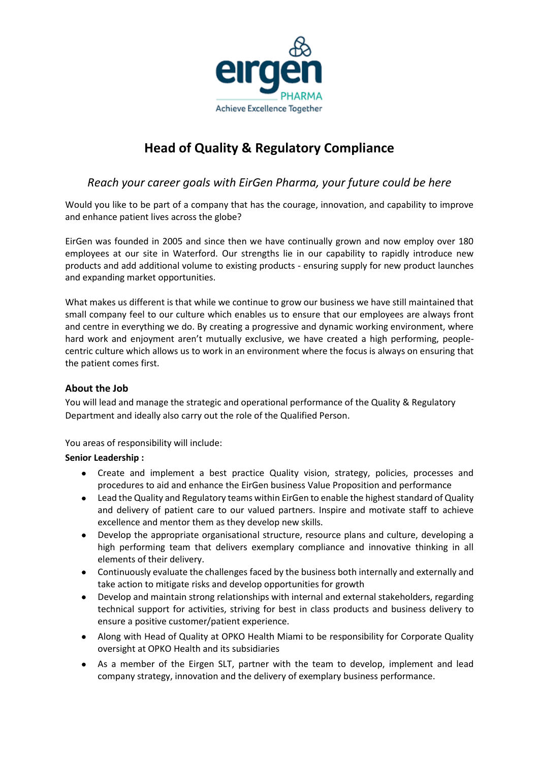

## **Head of Quality & Regulatory Compliance**

### *Reach your career goals with EirGen Pharma, your future could be here*

Would you like to be part of a company that has the courage, innovation, and capability to improve and enhance patient lives across the globe?

EirGen was founded in 2005 and since then we have continually grown and now employ over 180 employees at our site in Waterford. Our strengths lie in our capability to rapidly introduce new products and add additional volume to existing products - ensuring supply for new product launches and expanding market opportunities.

What makes us different is that while we continue to grow our business we have still maintained that small company feel to our culture which enables us to ensure that our employees are always front and centre in everything we do. By creating a progressive and dynamic working environment, where hard work and enjoyment aren't mutually exclusive, we have created a high performing, peoplecentric culture which allows us to work in an environment where the focus is always on ensuring that the patient comes first.

#### **About the Job**

You will lead and manage the strategic and operational performance of the Quality & Regulatory Department and ideally also carry out the role of the Qualified Person.

You areas of responsibility will include:

#### **Senior Leadership :**

- Create and implement a best practice Quality vision, strategy, policies, processes and procedures to aid and enhance the EirGen business Value Proposition and performance
- Lead the Quality and Regulatory teams within EirGen to enable the highest standard of Quality and delivery of patient care to our valued partners. Inspire and motivate staff to achieve excellence and mentor them as they develop new skills.
- Develop the appropriate organisational structure, resource plans and culture, developing a high performing team that delivers exemplary compliance and innovative thinking in all elements of their delivery.
- Continuously evaluate the challenges faced by the business both internally and externally and take action to mitigate risks and develop opportunities for growth
- Develop and maintain strong relationships with internal and external stakeholders, regarding technical support for activities, striving for best in class products and business delivery to ensure a positive customer/patient experience.
- Along with Head of Quality at OPKO Health Miami to be responsibility for Corporate Quality oversight at OPKO Health and its subsidiaries
- As a member of the Eirgen SLT, partner with the team to develop, implement and lead company strategy, innovation and the delivery of exemplary business performance.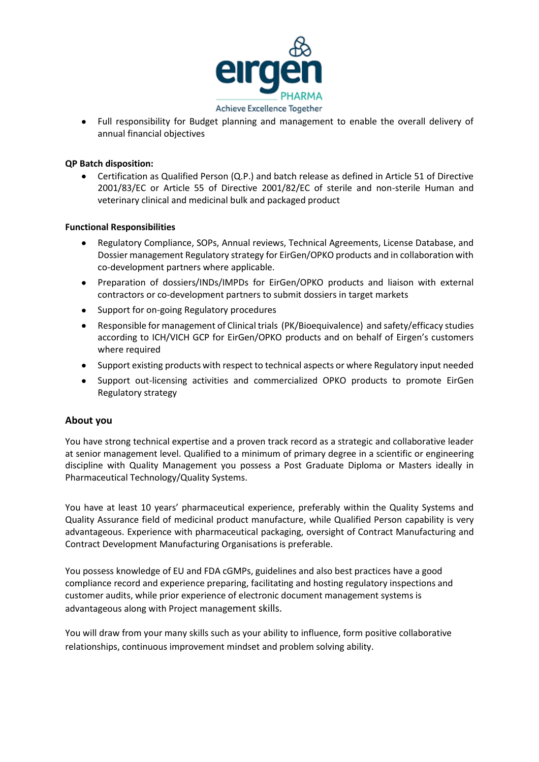

 Full responsibility for Budget planning and management to enable the overall delivery of annual financial objectives

#### **QP Batch disposition:**

 Certification as Qualified Person (Q.P.) and batch release as defined in Article 51 of Directive 2001/83/EC or Article 55 of Directive 2001/82/EC of sterile and non-sterile Human and veterinary clinical and medicinal bulk and packaged product

#### **Functional Responsibilities**

- Regulatory Compliance, SOPs, Annual reviews, Technical Agreements, License Database, and Dossier management Regulatory strategy for EirGen/OPKO products and in collaboration with co-development partners where applicable.
- Preparation of dossiers/INDs/IMPDs for EirGen/OPKO products and liaison with external contractors or co-development partners to submit dossiers in target markets
- Support for on-going Regulatory procedures
- Responsible for management of Clinical trials (PK/Bioequivalence) and safety/efficacy studies according to ICH/VICH GCP for EirGen/OPKO products and on behalf of Eirgen's customers where required
- Support existing products with respect to technical aspects or where Regulatory input needed
- Support out-licensing activities and commercialized OPKO products to promote EirGen Regulatory strategy

#### **About you**

You have strong technical expertise and a proven track record as a strategic and collaborative leader at senior management level. Qualified to a minimum of primary degree in a scientific or engineering discipline with Quality Management you possess a Post Graduate Diploma or Masters ideally in Pharmaceutical Technology/Quality Systems.

You have at least 10 years' pharmaceutical experience, preferably within the Quality Systems and Quality Assurance field of medicinal product manufacture, while Qualified Person capability is very advantageous. Experience with pharmaceutical packaging, oversight of Contract Manufacturing and Contract Development Manufacturing Organisations is preferable.

You possess knowledge of EU and FDA cGMPs, guidelines and also best practices have a good compliance record and experience preparing, facilitating and hosting regulatory inspections and customer audits, while prior experience of electronic document management systems is advantageous along with Project management skills.

You will draw from your many skills such as your ability to influence, form positive collaborative relationships, continuous improvement mindset and problem solving ability.